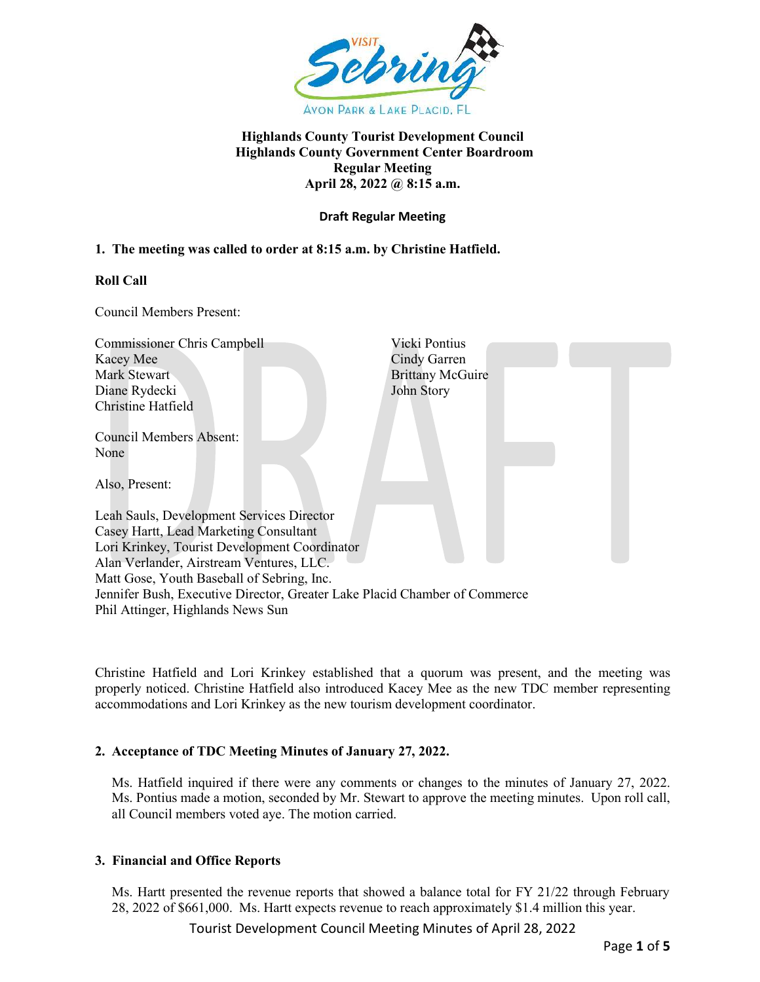

### **Highlands County Tourist Development Council Highlands County Government Center Boardroom Regular Meeting April 28, 2022 @ 8:15 a.m.**

### **Draft Regular Meeting**

# **1. The meeting was called to order at 8:15 a.m. by Christine Hatfield.**

### **Roll Call**

Council Members Present:

| <b>Commissioner Chris Campbell</b>                                         | Vicki Pontius           |
|----------------------------------------------------------------------------|-------------------------|
| Kacey Mee                                                                  | Cindy Garren            |
| Mark Stewart                                                               | <b>Brittany McGuire</b> |
| Diane Rydecki                                                              | John Story              |
| Christine Hatfield                                                         |                         |
|                                                                            |                         |
| <b>Council Members Absent:</b>                                             |                         |
| None                                                                       |                         |
|                                                                            |                         |
| Also, Present:                                                             |                         |
|                                                                            |                         |
| Leah Sauls, Development Services Director                                  |                         |
| Casey Hartt, Lead Marketing Consultant                                     |                         |
| Lori Krinkey, Tourist Development Coordinator                              |                         |
| Alan Verlander, Airstream Ventures, LLC.                                   |                         |
| Matt Gose, Youth Baseball of Sebring, Inc.                                 |                         |
| Jennifer Bush, Executive Director, Greater Lake Placid Chamber of Commerce |                         |

Phil Attinger, Highlands News Sun

Christine Hatfield and Lori Krinkey established that a quorum was present, and the meeting was properly noticed. Christine Hatfield also introduced Kacey Mee as the new TDC member representing accommodations and Lori Krinkey as the new tourism development coordinator.

# **2. Acceptance of TDC Meeting Minutes of January 27, 2022.**

Ms. Hatfield inquired if there were any comments or changes to the minutes of January 27, 2022. Ms. Pontius made a motion, seconded by Mr. Stewart to approve the meeting minutes. Upon roll call, all Council members voted aye. The motion carried.

# **3. Financial and Office Reports**

Ms. Hartt presented the revenue reports that showed a balance total for FY 21/22 through February 28, 2022 of \$661,000. Ms. Hartt expects revenue to reach approximately \$1.4 million this year.

Tourist Development Council Meeting Minutes of April 28, 2022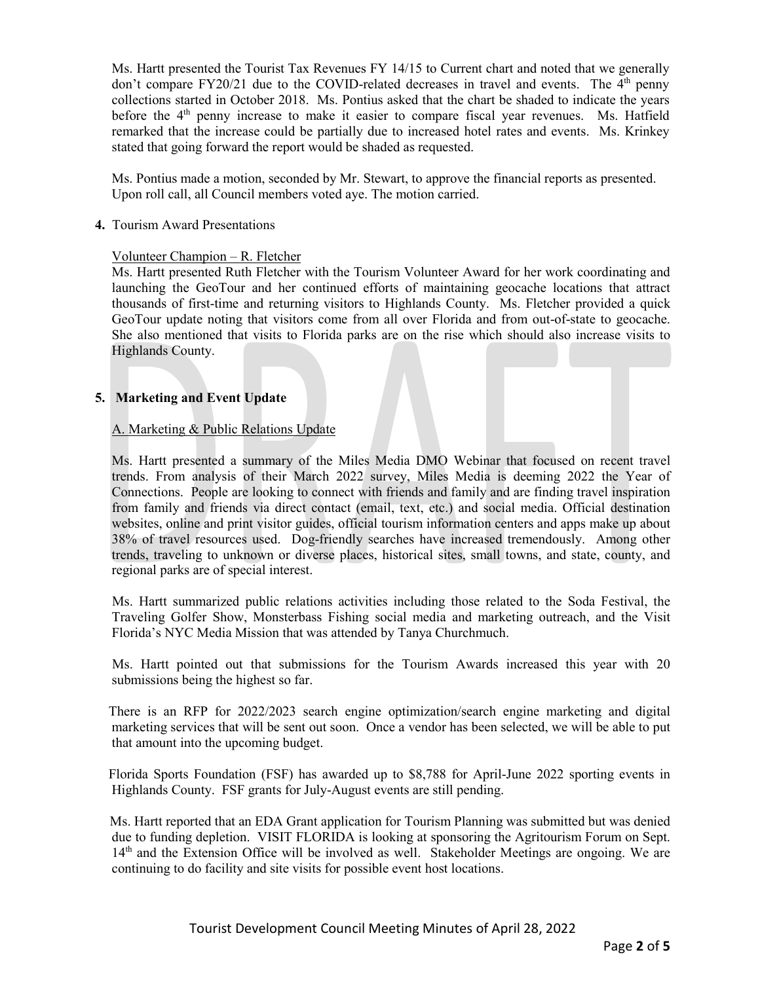Ms. Hartt presented the Tourist Tax Revenues FY 14/15 to Current chart and noted that we generally don't compare  $FY20/21$  due to the COVID-related decreases in travel and events. The  $4<sup>th</sup>$  penny collections started in October 2018. Ms. Pontius asked that the chart be shaded to indicate the years before the 4<sup>th</sup> penny increase to make it easier to compare fiscal year revenues. Ms. Hatfield remarked that the increase could be partially due to increased hotel rates and events. Ms. Krinkey stated that going forward the report would be shaded as requested.

Ms. Pontius made a motion, seconded by Mr. Stewart, to approve the financial reports as presented. Upon roll call, all Council members voted aye. The motion carried.

### **4.** Tourism Award Presentations

#### Volunteer Champion – R. Fletcher

Ms. Hartt presented Ruth Fletcher with the Tourism Volunteer Award for her work coordinating and launching the GeoTour and her continued efforts of maintaining geocache locations that attract thousands of first-time and returning visitors to Highlands County. Ms. Fletcher provided a quick GeoTour update noting that visitors come from all over Florida and from out-of-state to geocache. She also mentioned that visits to Florida parks are on the rise which should also increase visits to Highlands County.

### **5. Marketing and Event Update**

### A. Marketing & Public Relations Update

Ms. Hartt presented a summary of the Miles Media DMO Webinar that focused on recent travel trends. From analysis of their March 2022 survey, Miles Media is deeming 2022 the Year of Connections. People are looking to connect with friends and family and are finding travel inspiration from family and friends via direct contact (email, text, etc.) and social media. Official destination websites, online and print visitor guides, official tourism information centers and apps make up about 38% of travel resources used. Dog-friendly searches have increased tremendously. Among other trends, traveling to unknown or diverse places, historical sites, small towns, and state, county, and regional parks are of special interest.

 Ms. Hartt summarized public relations activities including those related to the Soda Festival, the Traveling Golfer Show, Monsterbass Fishing social media and marketing outreach, and the Visit Florida's NYC Media Mission that was attended by Tanya Churchmuch.

 Ms. Hartt pointed out that submissions for the Tourism Awards increased this year with 20 submissions being the highest so far.

 There is an RFP for 2022/2023 search engine optimization/search engine marketing and digital marketing services that will be sent out soon. Once a vendor has been selected, we will be able to put that amount into the upcoming budget.

 Florida Sports Foundation (FSF) has awarded up to \$8,788 for April-June 2022 sporting events in Highlands County. FSF grants for July-August events are still pending.

 Ms. Hartt reported that an EDA Grant application for Tourism Planning was submitted but was denied due to funding depletion. VISIT FLORIDA is looking at sponsoring the Agritourism Forum on Sept. 14<sup>th</sup> and the Extension Office will be involved as well. Stakeholder Meetings are ongoing. We are continuing to do facility and site visits for possible event host locations.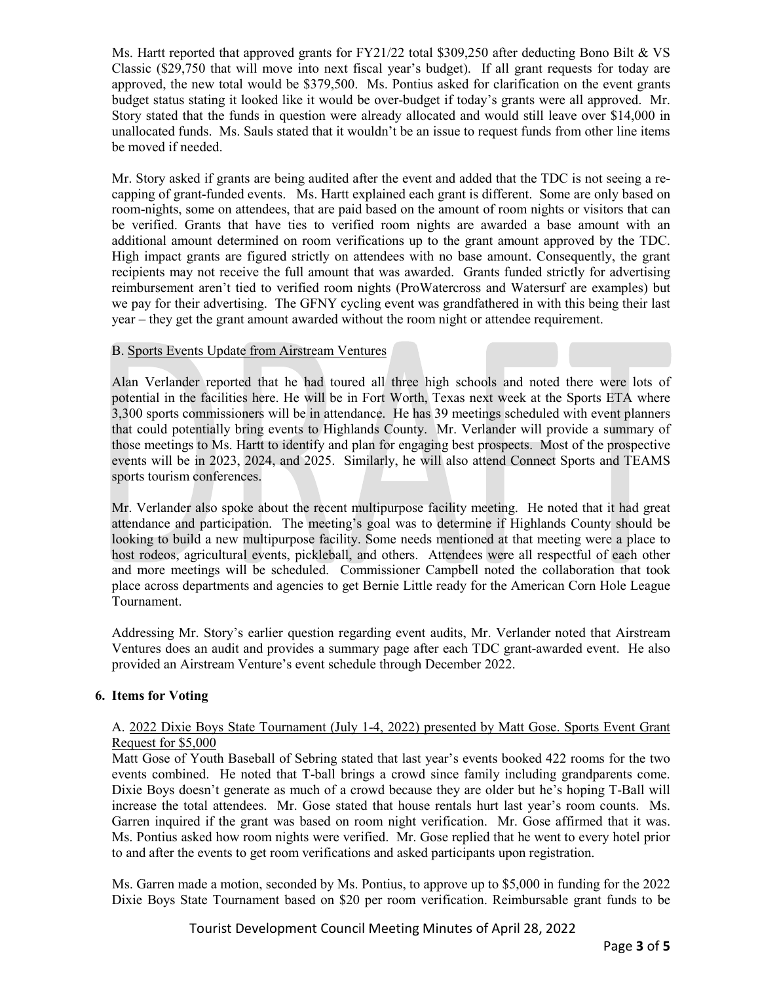Ms. Hartt reported that approved grants for FY21/22 total \$309,250 after deducting Bono Bilt & VS Classic (\$29,750 that will move into next fiscal year's budget). If all grant requests for today are approved, the new total would be \$379,500. Ms. Pontius asked for clarification on the event grants budget status stating it looked like it would be over-budget if today's grants were all approved. Mr. Story stated that the funds in question were already allocated and would still leave over \$14,000 in unallocated funds. Ms. Sauls stated that it wouldn't be an issue to request funds from other line items be moved if needed.

Mr. Story asked if grants are being audited after the event and added that the TDC is not seeing a recapping of grant-funded events. Ms. Hartt explained each grant is different. Some are only based on room-nights, some on attendees, that are paid based on the amount of room nights or visitors that can be verified. Grants that have ties to verified room nights are awarded a base amount with an additional amount determined on room verifications up to the grant amount approved by the TDC. High impact grants are figured strictly on attendees with no base amount. Consequently, the grant recipients may not receive the full amount that was awarded. Grants funded strictly for advertising reimbursement aren't tied to verified room nights (ProWatercross and Watersurf are examples) but we pay for their advertising. The GFNY cycling event was grandfathered in with this being their last year – they get the grant amount awarded without the room night or attendee requirement.

### B. Sports Events Update from Airstream Ventures

Alan Verlander reported that he had toured all three high schools and noted there were lots of potential in the facilities here. He will be in Fort Worth, Texas next week at the Sports ETA where 3,300 sports commissioners will be in attendance. He has 39 meetings scheduled with event planners that could potentially bring events to Highlands County. Mr. Verlander will provide a summary of those meetings to Ms. Hartt to identify and plan for engaging best prospects. Most of the prospective events will be in 2023, 2024, and 2025. Similarly, he will also attend Connect Sports and TEAMS sports tourism conferences.

Mr. Verlander also spoke about the recent multipurpose facility meeting. He noted that it had great attendance and participation. The meeting's goal was to determine if Highlands County should be looking to build a new multipurpose facility. Some needs mentioned at that meeting were a place to host rodeos, agricultural events, pickleball, and others. Attendees were all respectful of each other and more meetings will be scheduled. Commissioner Campbell noted the collaboration that took place across departments and agencies to get Bernie Little ready for the American Corn Hole League Tournament.

Addressing Mr. Story's earlier question regarding event audits, Mr. Verlander noted that Airstream Ventures does an audit and provides a summary page after each TDC grant-awarded event. He also provided an Airstream Venture's event schedule through December 2022.

# **6. Items for Voting**

### A. 2022 Dixie Boys State Tournament (July 1-4, 2022) presented by Matt Gose. Sports Event Grant Request for \$5,000

 Matt Gose of Youth Baseball of Sebring stated that last year's events booked 422 rooms for the two events combined. He noted that T-ball brings a crowd since family including grandparents come. Dixie Boys doesn't generate as much of a crowd because they are older but he's hoping T-Ball will increase the total attendees. Mr. Gose stated that house rentals hurt last year's room counts. Ms. Garren inquired if the grant was based on room night verification. Mr. Gose affirmed that it was. Ms. Pontius asked how room nights were verified. Mr. Gose replied that he went to every hotel prior to and after the events to get room verifications and asked participants upon registration.

 Ms. Garren made a motion, seconded by Ms. Pontius, to approve up to \$5,000 in funding for the 2022 Dixie Boys State Tournament based on \$20 per room verification. Reimbursable grant funds to be

Tourist Development Council Meeting Minutes of April 28, 2022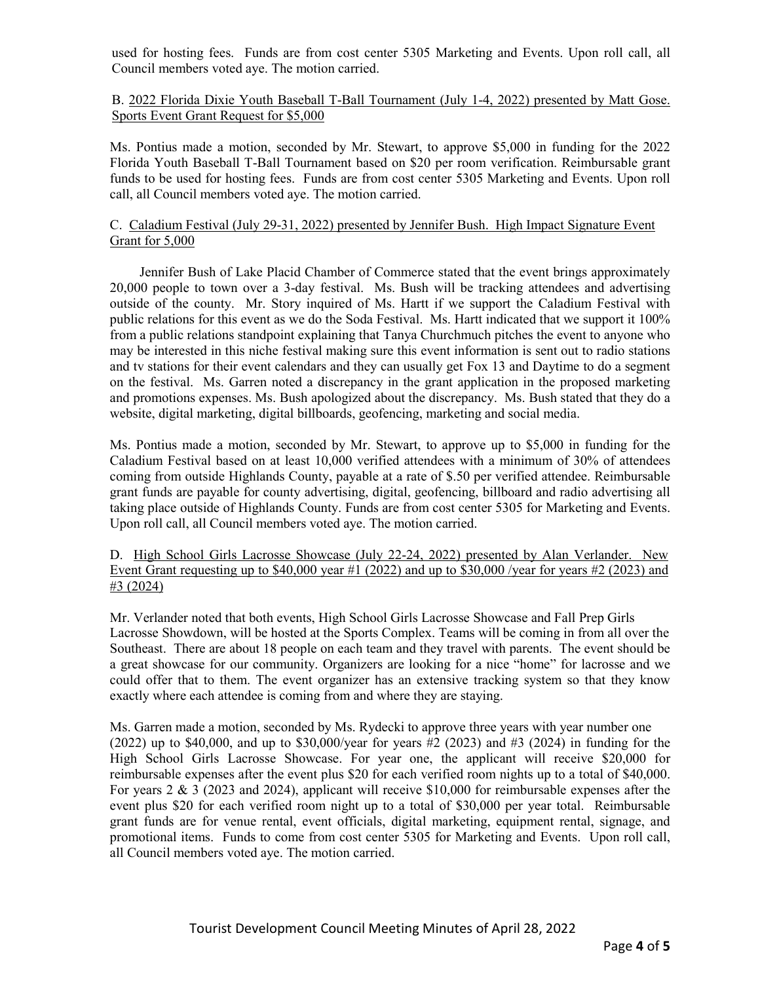used for hosting fees. Funds are from cost center 5305 Marketing and Events. Upon roll call, all Council members voted aye. The motion carried.

### B. 2022 Florida Dixie Youth Baseball T-Ball Tournament (July 1-4, 2022) presented by Matt Gose. Sports Event Grant Request for \$5,000

Ms. Pontius made a motion, seconded by Mr. Stewart, to approve \$5,000 in funding for the 2022 Florida Youth Baseball T-Ball Tournament based on \$20 per room verification. Reimbursable grant funds to be used for hosting fees. Funds are from cost center 5305 Marketing and Events. Upon roll call, all Council members voted aye. The motion carried.

### C. Caladium Festival (July 29-31, 2022) presented by Jennifer Bush. High Impact Signature Event Grant for 5,000

 Jennifer Bush of Lake Placid Chamber of Commerce stated that the event brings approximately 20,000 people to town over a 3-day festival. Ms. Bush will be tracking attendees and advertising outside of the county. Mr. Story inquired of Ms. Hartt if we support the Caladium Festival with public relations for this event as we do the Soda Festival. Ms. Hartt indicated that we support it 100% from a public relations standpoint explaining that Tanya Churchmuch pitches the event to anyone who may be interested in this niche festival making sure this event information is sent out to radio stations and tv stations for their event calendars and they can usually get Fox 13 and Daytime to do a segment on the festival. Ms. Garren noted a discrepancy in the grant application in the proposed marketing and promotions expenses. Ms. Bush apologized about the discrepancy. Ms. Bush stated that they do a website, digital marketing, digital billboards, geofencing, marketing and social media.

Ms. Pontius made a motion, seconded by Mr. Stewart, to approve up to \$5,000 in funding for the Caladium Festival based on at least 10,000 verified attendees with a minimum of 30% of attendees coming from outside Highlands County, payable at a rate of \$.50 per verified attendee. Reimbursable grant funds are payable for county advertising, digital, geofencing, billboard and radio advertising all taking place outside of Highlands County. Funds are from cost center 5305 for Marketing and Events. Upon roll call, all Council members voted aye. The motion carried.

D. High School Girls Lacrosse Showcase (July 22-24, 2022) presented by Alan Verlander. New Event Grant requesting up to \$40,000 year #1 (2022) and up to \$30,000 /year for years #2 (2023) and #3 (2024)

Mr. Verlander noted that both events, High School Girls Lacrosse Showcase and Fall Prep Girls Lacrosse Showdown, will be hosted at the Sports Complex. Teams will be coming in from all over the Southeast. There are about 18 people on each team and they travel with parents. The event should be a great showcase for our community. Organizers are looking for a nice "home" for lacrosse and we could offer that to them. The event organizer has an extensive tracking system so that they know exactly where each attendee is coming from and where they are staying.

Ms. Garren made a motion, seconded by Ms. Rydecki to approve three years with year number one (2022) up to \$40,000, and up to \$30,000/year for years #2 (2023) and #3 (2024) in funding for the High School Girls Lacrosse Showcase. For year one, the applicant will receive \$20,000 for reimbursable expenses after the event plus \$20 for each verified room nights up to a total of \$40,000. For years 2 & 3 (2023 and 2024), applicant will receive \$10,000 for reimbursable expenses after the event plus \$20 for each verified room night up to a total of \$30,000 per year total. Reimbursable grant funds are for venue rental, event officials, digital marketing, equipment rental, signage, and promotional items. Funds to come from cost center 5305 for Marketing and Events. Upon roll call, all Council members voted aye. The motion carried.